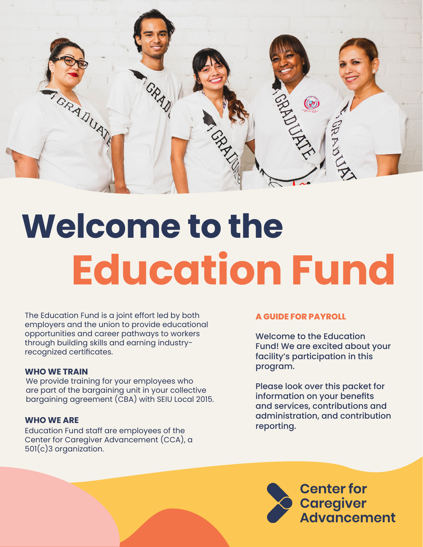

# **Welcome to the Education Fund**

The Education Fund is a joint effort led by both employers and the union to provide educational opportunities and career pathways to workers through building skills and earning industryrecognized certificates.

## **WHO WE TRAIN**

We provide training for your employees who are part of the bargaining unit in your collective bargaining agreement (CBA) with SEIU Local 2015.

## **WHO WE ARE**

Education Fund staff are employees of the Center for Caregiver Advancement (CCA), a 501(c)3 organization.

## **A GUIDE FOR PAYROLL**

Welcome to the Education Fund! We are excited about your facility's participation in this program.

Please look over this packet for information on your benefits and services, contributions and administration, and contribution reporting.

> **Center for** Caregiver<br>Advancement